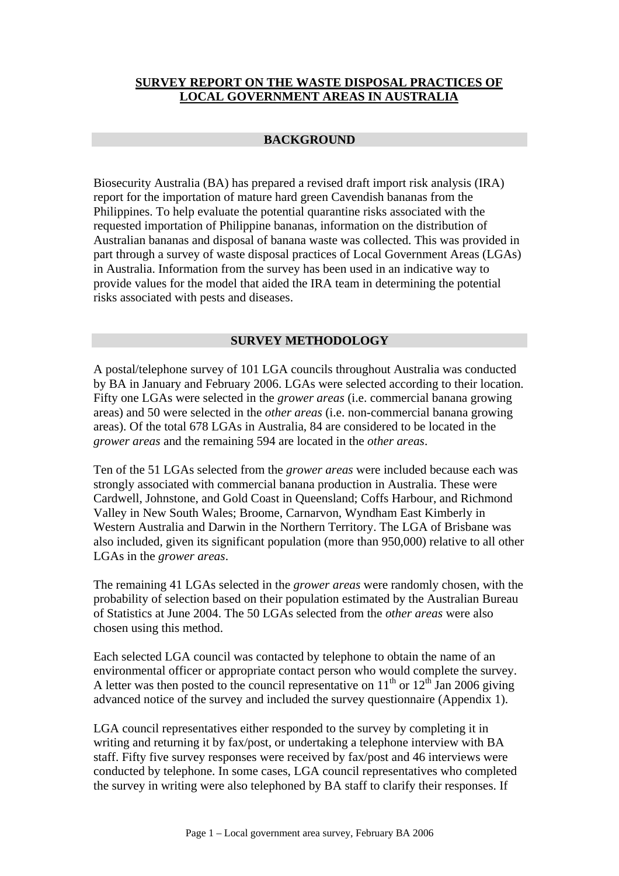# **SURVEY REPORT ON THE WASTE DISPOSAL PRACTICES OF LOCAL GOVERNMENT AREAS IN AUSTRALIA**

## **BACKGROUND**

Biosecurity Australia (BA) has prepared a revised draft import risk analysis (IRA) report for the importation of mature hard green Cavendish bananas from the Philippines. To help evaluate the potential quarantine risks associated with the requested importation of Philippine bananas, information on the distribution of Australian bananas and disposal of banana waste was collected. This was provided in part through a survey of waste disposal practices of Local Government Areas (LGAs) in Australia. Information from the survey has been used in an indicative way to provide values for the model that aided the IRA team in determining the potential risks associated with pests and diseases.

# **SURVEY METHODOLOGY**

A postal/telephone survey of 101 LGA councils throughout Australia was conducted by BA in January and February 2006. LGAs were selected according to their location. Fifty one LGAs were selected in the *grower areas* (i.e. commercial banana growing areas) and 50 were selected in the *other areas* (i.e. non-commercial banana growing areas). Of the total 678 LGAs in Australia, 84 are considered to be located in the *grower areas* and the remaining 594 are located in the *other areas*.

Ten of the 51 LGAs selected from the *grower areas* were included because each was strongly associated with commercial banana production in Australia. These were Cardwell, Johnstone, and Gold Coast in Queensland; Coffs Harbour, and Richmond Valley in New South Wales; Broome, Carnarvon, Wyndham East Kimberly in Western Australia and Darwin in the Northern Territory. The LGA of Brisbane was also included, given its significant population (more than 950,000) relative to all other LGAs in the *grower areas*.

The remaining 41 LGAs selected in the *grower areas* were randomly chosen, with the probability of selection based on their population estimated by the Australian Bureau of Statistics at June 2004. The 50 LGAs selected from the *other areas* were also chosen using this method.

Each selected LGA council was contacted by telephone to obtain the name of an environmental officer or appropriate contact person who would complete the survey. A letter was then posted to the council representative on  $11<sup>th</sup>$  or  $12<sup>th</sup>$  Jan 2006 giving advanced notice of the survey and included the survey questionnaire (Appendix 1).

LGA council representatives either responded to the survey by completing it in writing and returning it by fax/post, or undertaking a telephone interview with BA staff. Fifty five survey responses were received by fax/post and 46 interviews were conducted by telephone. In some cases, LGA council representatives who completed the survey in writing were also telephoned by BA staff to clarify their responses. If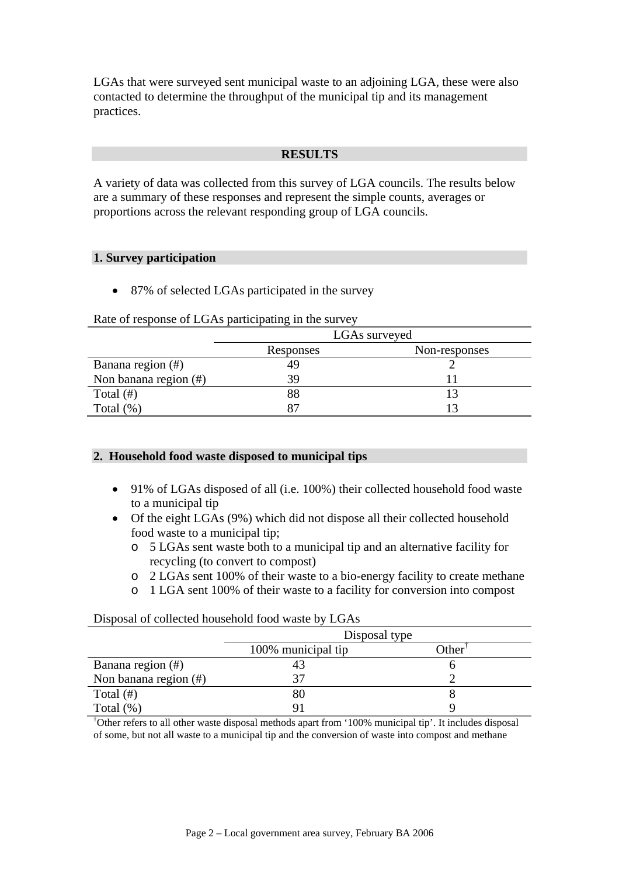LGAs that were surveyed sent municipal waste to an adjoining LGA, these were also contacted to determine the throughput of the municipal tip and its management practices.

#### **RESULTS**

A variety of data was collected from this survey of LGA councils. The results below are a summary of these responses and represent the simple counts, averages or proportions across the relevant responding group of LGA councils.

#### **1. Survey participation**

• 87% of selected LGAs participated in the survey

#### Rate of response of LGAs participating in the survey

|                       |           | LGAs surveyed |  |  |
|-----------------------|-----------|---------------|--|--|
|                       | Responses | Non-responses |  |  |
| Banana region (#)     | 49        |               |  |  |
| Non banana region (#) | 39        |               |  |  |
| Total $(\#)$          | 88        |               |  |  |
| Total $(\%)$          | 87        |               |  |  |

## **2. Household food waste disposed to municipal tips**

- 91% of LGAs disposed of all (i.e. 100%) their collected household food waste to a municipal tip
- Of the eight LGAs (9%) which did not dispose all their collected household food waste to a municipal tip;
	- o 5 LGAs sent waste both to a municipal tip and an alternative facility for recycling (to convert to compost)
	- o 2 LGAs sent 100% of their waste to a bio-energy facility to create methane
	- o 1 LGA sent 100% of their waste to a facility for conversion into compost

|                       | Disposal type      |       |  |  |  |
|-----------------------|--------------------|-------|--|--|--|
|                       | 100% municipal tip | Other |  |  |  |
| Banana region (#)     |                    |       |  |  |  |
| Non banana region (#) |                    |       |  |  |  |
| Total $(\#)$          |                    |       |  |  |  |
| Total $(\%)$          |                    |       |  |  |  |

## Disposal of collected household food waste by LGAs

† Other refers to all other waste disposal methods apart from '100% municipal tip'. It includes disposal of some, but not all waste to a municipal tip and the conversion of waste into compost and methane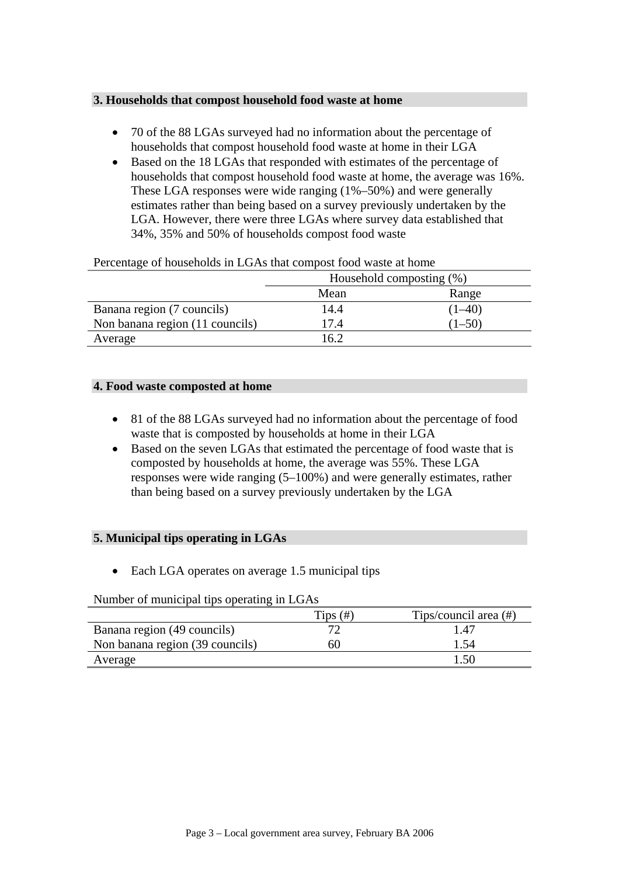# **3. Households that compost household food waste at home**

- 70 of the 88 LGAs surveyed had no information about the percentage of households that compost household food waste at home in their LGA
- Based on the 18 LGAs that responded with estimates of the percentage of households that compost household food waste at home, the average was 16%. These LGA responses were wide ranging (1%–50%) and were generally estimates rather than being based on a survey previously undertaken by the LGA. However, there were three LGAs where survey data established that 34%, 35% and 50% of households compost food waste

|                                 | Household composting (%) |            |  |  |
|---------------------------------|--------------------------|------------|--|--|
|                                 | Mean                     |            |  |  |
| Banana region (7 councils)      | 14.4                     | $(1 - 40)$ |  |  |
| Non banana region (11 councils) | 17.4                     | $(1 - 50)$ |  |  |
| Average                         | 16.2                     |            |  |  |

#### Percentage of households in LGAs that compost food waste at home

#### **4. Food waste composted at home**

- 81 of the 88 LGAs surveyed had no information about the percentage of food waste that is composted by households at home in their LGA
- Based on the seven LGAs that estimated the percentage of food waste that is composted by households at home, the average was 55%. These LGA responses were wide ranging (5–100%) and were generally estimates, rather than being based on a survey previously undertaken by the LGA

## **5. Municipal tips operating in LGAs**

• Each LGA operates on average 1.5 municipal tips

Number of municipal tips operating in LGAs

|                                 | $Tips$ $(\#)$ | Tips/council area (#) |
|---------------------------------|---------------|-----------------------|
| Banana region (49 councils)     |               | 1.47                  |
| Non banana region (39 councils) | 60            | .54                   |
| Average                         |               |                       |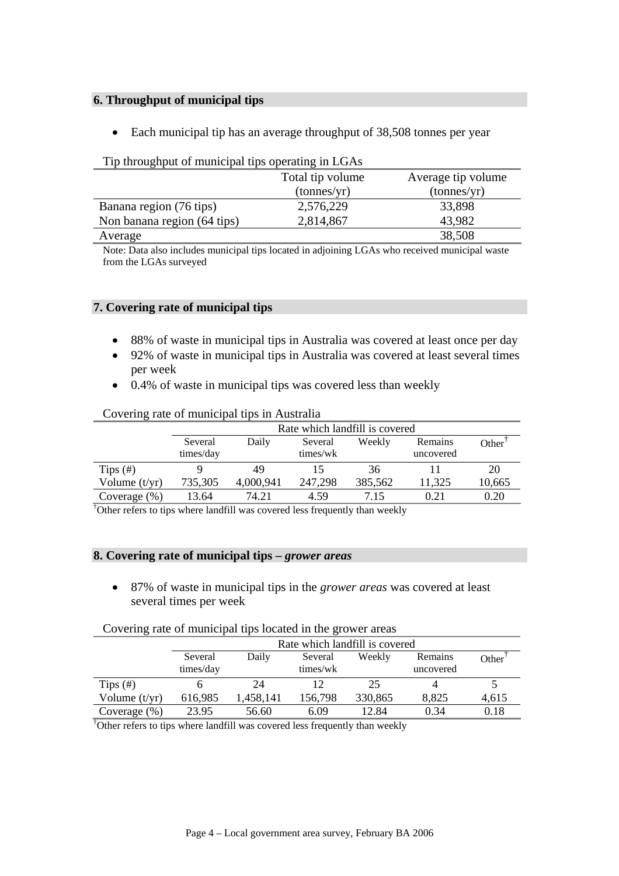# **6. Throughput of municipal tips**

• Each municipal tip has an average throughput of 38,508 tonnes per year

|                             | The unbagnet of mantelparties operating in Borro |                      |  |  |  |  |  |  |
|-----------------------------|--------------------------------------------------|----------------------|--|--|--|--|--|--|
|                             | Total tip volume                                 | Average tip volume   |  |  |  |  |  |  |
|                             | (tonnes/yr)                                      | $(\text{tonnes/yr})$ |  |  |  |  |  |  |
| Banana region (76 tips)     | 2,576,229                                        | 33,898               |  |  |  |  |  |  |
| Non banana region (64 tips) | 2,814,867                                        | 43,982               |  |  |  |  |  |  |
| Average                     |                                                  | 38,508               |  |  |  |  |  |  |

# Tip throughput of municipal tips operating in LGAs

Note: Data also includes municipal tips located in adjoining LGAs who received municipal waste from the LGAs surveyed

## **7. Covering rate of municipal tips**

- 88% of waste in municipal tips in Australia was covered at least once per day
- 92% of waste in municipal tips in Australia was covered at least several times per week
- 0.4% of waste in municipal tips was covered less than weekly

| COVCHILE TAIC OF HIGHICIPAL UPS IN AUSTRALIA |           |                                |          |         |           |        |  |  |
|----------------------------------------------|-----------|--------------------------------|----------|---------|-----------|--------|--|--|
|                                              |           | Rate which landfill is covered |          |         |           |        |  |  |
|                                              | Several   | Daily                          | Several  | Weekly  | Remains   | Other  |  |  |
|                                              | times/day |                                | times/wk |         | uncovered |        |  |  |
| Tips $(\#)$                                  |           | 49                             |          | 36      |           | 20     |  |  |
| Volume $(t/yr)$                              | 735,305   | 4,000,941                      | 247,298  | 385,562 | 11,325    | 10,665 |  |  |
| Coverage $(\%)$                              | 13.64     | 74.21                          | 4.59     | 7.15    | 0.21      | 0.20   |  |  |

#### Covering rate of municipal tips in Australia

† Other refers to tips where landfill was covered less frequently than weekly

## **8. Covering rate of municipal tips –** *grower areas*

• 87% of waste in municipal tips in the *grower areas* was covered at least several times per week

|  | Covering rate of municipal tips located in the grower areas |
|--|-------------------------------------------------------------|
|  |                                                             |

|                 | Rate which landfill is covered |                                                |          |         |           |       |  |  |  |
|-----------------|--------------------------------|------------------------------------------------|----------|---------|-----------|-------|--|--|--|
|                 | Several                        | Daily<br>Weekly<br>Remains<br>Several<br>Other |          |         |           |       |  |  |  |
|                 | times/day                      |                                                | times/wk |         | uncovered |       |  |  |  |
| Tips $(\#)$     |                                | 24                                             |          | 25      |           |       |  |  |  |
| Volume $(t/yr)$ | 616,985                        | ,458,141                                       | 156,798  | 330,865 | 8,825     | 4,615 |  |  |  |
| Coverage $(\%)$ | 23.95                          | 56.60                                          | 6.09     | 12.84   | 0.34      | 0.18  |  |  |  |

† Other refers to tips where landfill was covered less frequently than weekly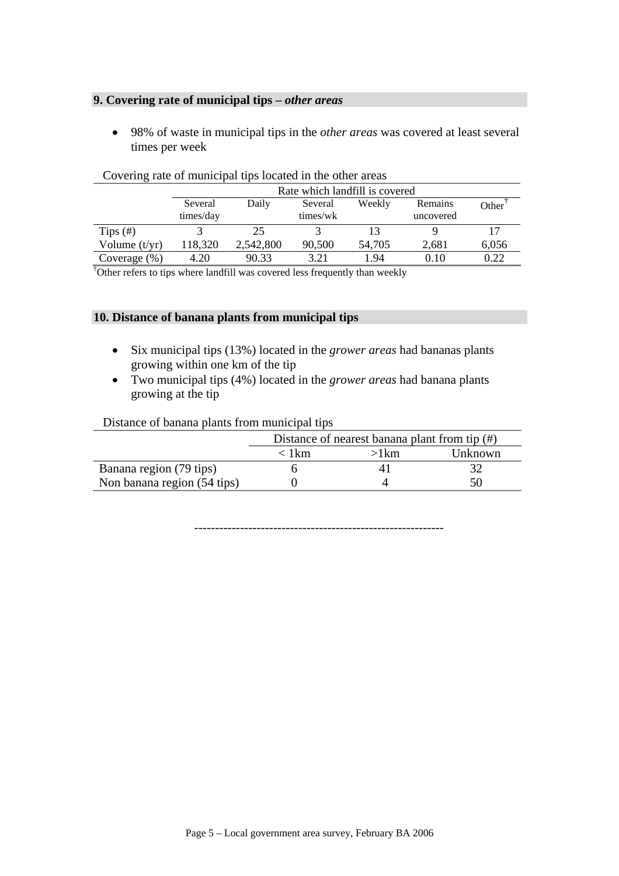# **9. Covering rate of municipal tips –** *other areas*

• 98% of waste in municipal tips in the *other areas* was covered at least several times per week

|                 | Rate which landfill is covered |                                                                |        |        |       |       |  |  |
|-----------------|--------------------------------|----------------------------------------------------------------|--------|--------|-------|-------|--|--|
|                 | Several<br>times/day           | Remains<br>Daily<br>Weekly<br>Several<br>times/wk<br>uncovered |        |        |       |       |  |  |
| Tips $(\#)$     |                                | 25                                                             |        |        |       |       |  |  |
| Volume $(t/yr)$ | 118,320                        | 2,542,800                                                      | 90,500 | 54,705 | 2,681 | 6,056 |  |  |
| Coverage $(\%)$ | 4.20                           | 90.33                                                          | 3.21   | 1.94   | 0.10  | 0.22  |  |  |

#### Covering rate of municipal tips located in the other areas

† Other refers to tips where landfill was covered less frequently than weekly

#### **10. Distance of banana plants from municipal tips**

- Six municipal tips (13%) located in the *grower areas* had bananas plants growing within one km of the tip
- Two municipal tips (4%) located in the *grower areas* had banana plants growing at the tip

Distance of banana plants from municipal tips

|                             | Distance of nearest banana plant from tip $(\#)$ |      |         |  |  |  |
|-----------------------------|--------------------------------------------------|------|---------|--|--|--|
|                             | $\langle$ 1 km                                   | >1km | Unknown |  |  |  |
| Banana region (79 tips)     |                                                  |      |         |  |  |  |
| Non banana region (54 tips) |                                                  |      |         |  |  |  |

------------------------------------------------------------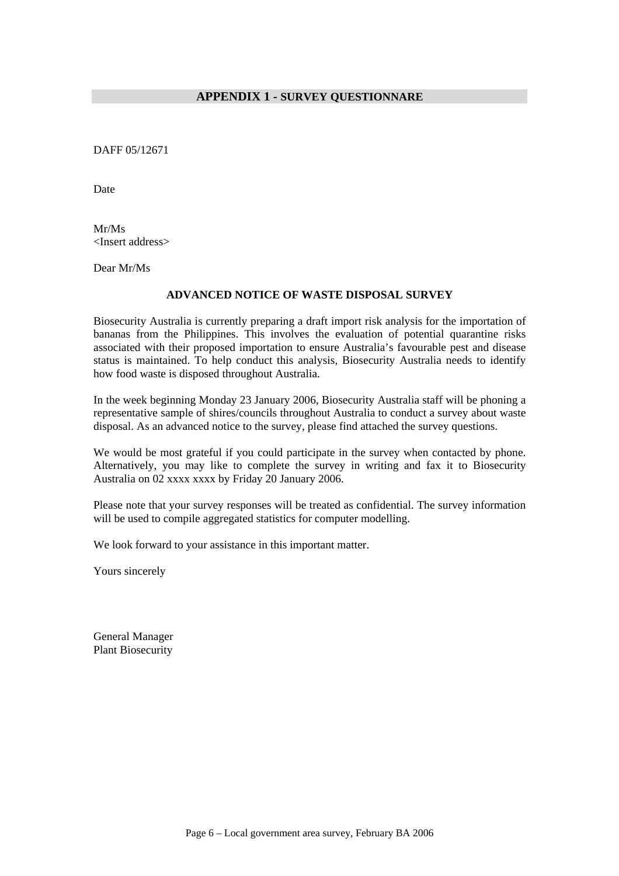#### **APPENDIX 1 - SURVEY QUESTIONNARE**

DAFF 05/12671

Date

Mr/Ms <Insert address>

Dear Mr/Ms

#### **ADVANCED NOTICE OF WASTE DISPOSAL SURVEY**

Biosecurity Australia is currently preparing a draft import risk analysis for the importation of bananas from the Philippines. This involves the evaluation of potential quarantine risks associated with their proposed importation to ensure Australia's favourable pest and disease status is maintained. To help conduct this analysis, Biosecurity Australia needs to identify how food waste is disposed throughout Australia.

In the week beginning Monday 23 January 2006, Biosecurity Australia staff will be phoning a representative sample of shires/councils throughout Australia to conduct a survey about waste disposal. As an advanced notice to the survey, please find attached the survey questions.

We would be most grateful if you could participate in the survey when contacted by phone. Alternatively, you may like to complete the survey in writing and fax it to Biosecurity Australia on 02 xxxx xxxx by Friday 20 January 2006.

Please note that your survey responses will be treated as confidential. The survey information will be used to compile aggregated statistics for computer modelling.

We look forward to your assistance in this important matter.

Yours sincerely

General Manager Plant Biosecurity